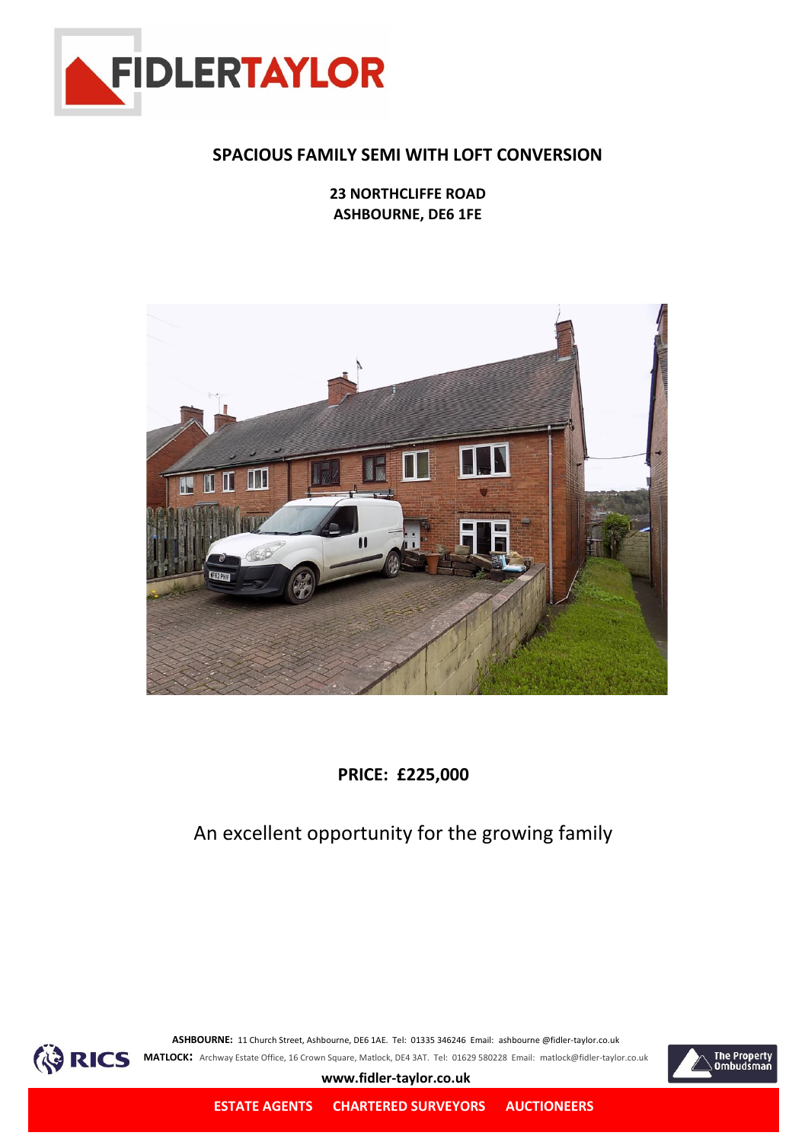

### **SPACIOUS FAMILY SEMI WITH LOFT CONVERSION**

**23 NORTHCLIFFE ROAD ASHBOURNE, DE6 1FE**



**PRICE: £225,000**

## An excellent opportunity for the growing family



**ASHBOURNE:** 11 Church Street, Ashbourne, DE6 1AE. Tel: 01335 346246 Email: ashbourne @fidler-taylor.co.uk **RICS** MATLOCK: Archway Estate Office, 16 Crown Square, Matlock, DE4 3AT. Tel: 01629 580228 Email: matlock@fidler-taylor.co.uk



**www.fidler-taylor.co.uk**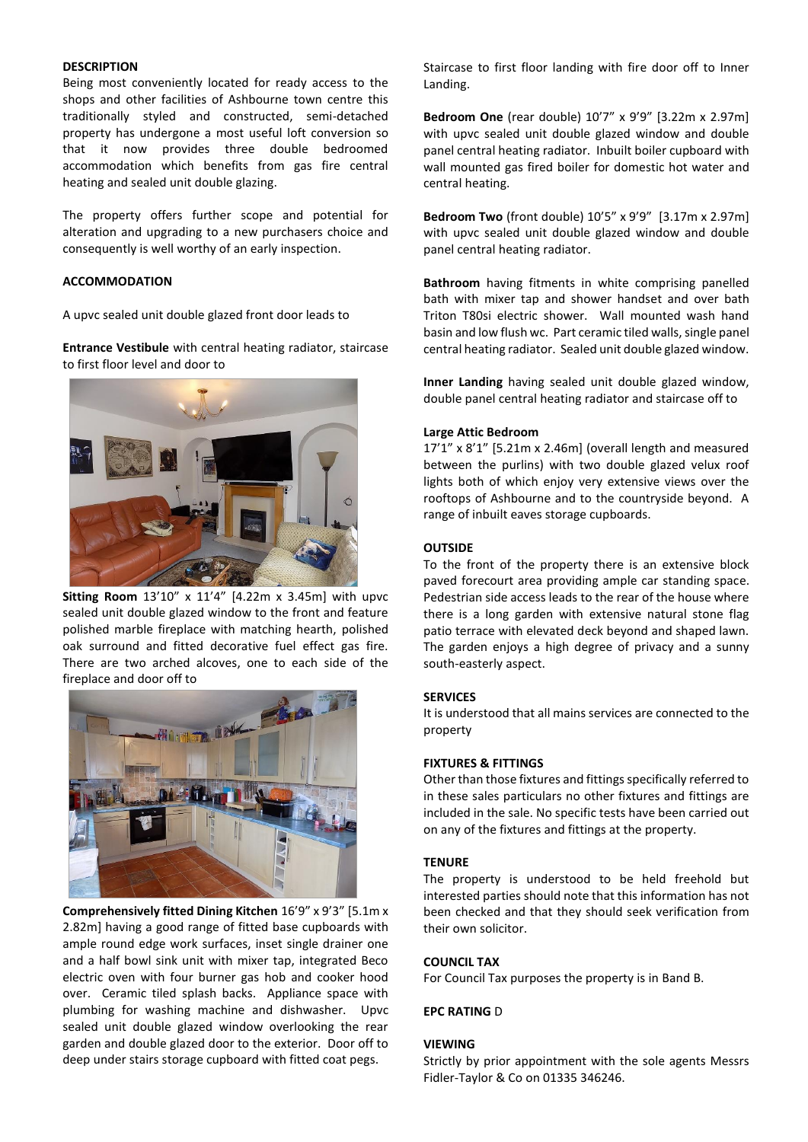#### **DESCRIPTION**

Being most conveniently located for ready access to the shops and other facilities of Ashbourne town centre this traditionally styled and constructed, semi-detached property has undergone a most useful loft conversion so that it now provides three double bedroomed accommodation which benefits from gas fire central heating and sealed unit double glazing.

The property offers further scope and potential for alteration and upgrading to a new purchasers choice and consequently is well worthy of an early inspection.

#### **ACCOMMODATION**

A upvc sealed unit double glazed front door leads to

**Entrance Vestibule** with central heating radiator, staircase to first floor level and door to



**Sitting Room** 13'10" x 11'4" [4.22m x 3.45m] with upvc sealed unit double glazed window to the front and feature polished marble fireplace with matching hearth, polished oak surround and fitted decorative fuel effect gas fire. There are two arched alcoves, one to each side of the fireplace and door off to



**Comprehensively fitted Dining Kitchen** 16'9" x 9'3" [5.1m x 2.82m] having a good range of fitted base cupboards with ample round edge work surfaces, inset single drainer one and a half bowl sink unit with mixer tap, integrated Beco electric oven with four burner gas hob and cooker hood over. Ceramic tiled splash backs. Appliance space with plumbing for washing machine and dishwasher. Upvc sealed unit double glazed window overlooking the rear garden and double glazed door to the exterior. Door off to deep under stairs storage cupboard with fitted coat pegs.

Staircase to first floor landing with fire door off to Inner Landing.

**Bedroom One** (rear double) 10'7" x 9'9" [3.22m x 2.97m] with upvc sealed unit double glazed window and double panel central heating radiator. Inbuilt boiler cupboard with wall mounted gas fired boiler for domestic hot water and central heating.

**Bedroom Two** (front double) 10'5" x 9'9"[3.17m x 2.97m] with upvc sealed unit double glazed window and double panel central heating radiator.

**Bathroom** having fitments in white comprising panelled bath with mixer tap and shower handset and over bath Triton T80si electric shower. Wall mounted wash hand basin and low flush wc. Part ceramic tiled walls, single panel central heating radiator. Sealed unit double glazed window.

**Inner Landing** having sealed unit double glazed window, double panel central heating radiator and staircase off to

#### **Large Attic Bedroom**

17'1" x 8'1" [5.21m x 2.46m] (overall length and measured between the purlins) with two double glazed velux roof lights both of which enjoy very extensive views over the rooftops of Ashbourne and to the countryside beyond. A range of inbuilt eaves storage cupboards.

#### **OUTSIDE**

To the front of the property there is an extensive block paved forecourt area providing ample car standing space. Pedestrian side access leads to the rear of the house where there is a long garden with extensive natural stone flag patio terrace with elevated deck beyond and shaped lawn. The garden enjoys a high degree of privacy and a sunny south-easterly aspect.

#### **SERVICES**

It is understood that all mains services are connected to the property

#### **FIXTURES & FITTINGS**

Other than those fixtures and fittings specifically referred to in these sales particulars no other fixtures and fittings are included in the sale. No specific tests have been carried out on any of the fixtures and fittings at the property.

#### **TENURE**

The property is understood to be held freehold but interested parties should note that this information has not been checked and that they should seek verification from their own solicitor.

#### **COUNCIL TAX**

For Council Tax purposes the property is in Band B.

#### **EPC RATING** D

#### **VIEWING**

Strictly by prior appointment with the sole agents Messrs Fidler-Taylor & Co on 01335 346246.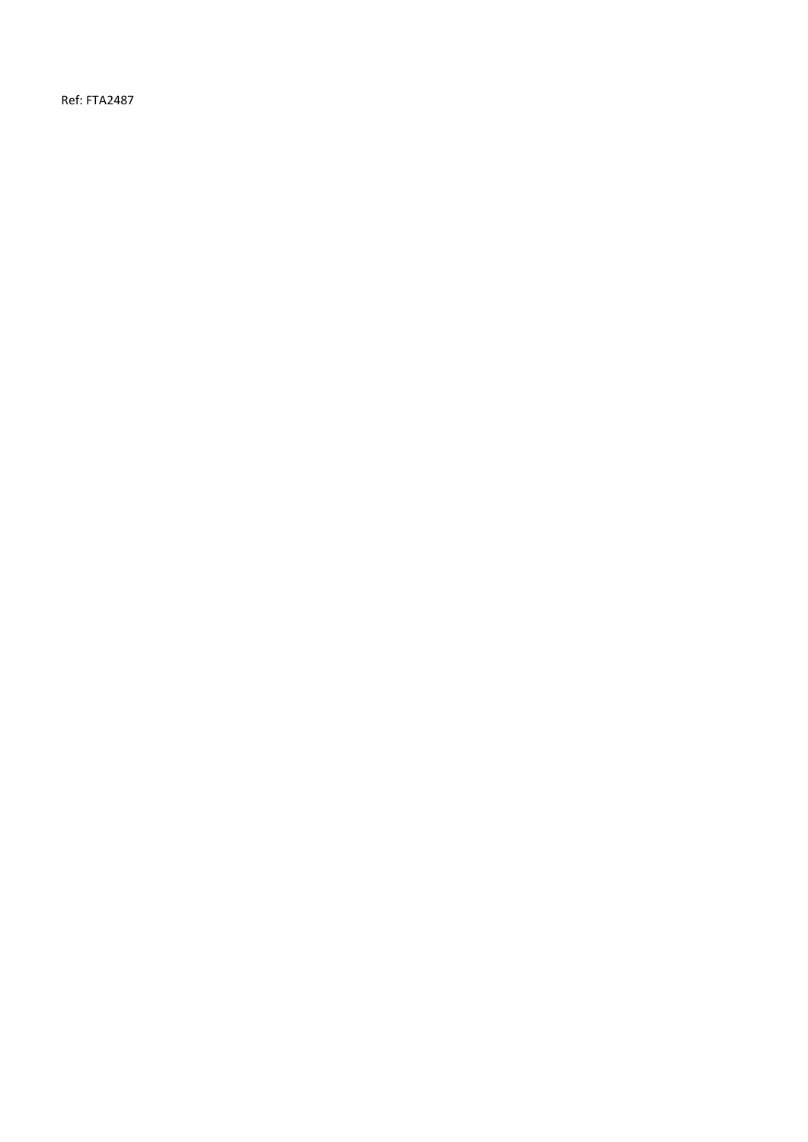Ref: FTA2487